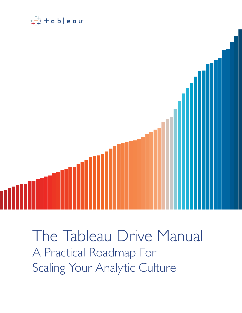



The Tableau Drive Manual A Practical Roadmap For Scaling Your Analytic Culture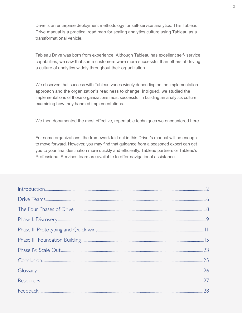Drive is an enterprise deployment methodology for self-service analytics. This Tableau Drive manual is a practical road map for scaling analytics culture using Tableau as a transformational vehicle.

Tableau Drive was born from experience. Although Tableau has excellent self- service capabilities, we saw that some customers were more successful than others at driving a culture of analytics widely throughout their organization.

We observed that success with Tableau varies widely depending on the implementation approach and the organization's readiness to change. Intrigued, we studied the implementations of those organizations most successful in building an analytics culture, examining how they handled implementations.

We then documented the most effective, repeatable techniques we encountered here.

For some organizations, the framework laid out in this Driver's manual will be enough to move forward. However, you may find that guidance from a seasoned expert can get you to your final destination more quickly and efficiently. Tableau partners or Tableau's Professional Services team are available to offer navigational assistance.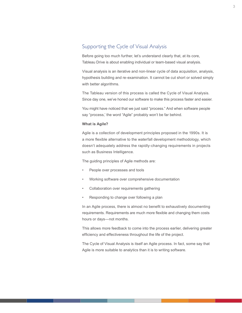# Supporting the Cycle of Visual Analysis

Before going too much further, let's understand clearly that, at its core, Tableau Drive is about enabling individual or team-based visual analysis.

Visual analysis is an iterative and non-linear cycle of data acquisition, analysis, hypothesis building and re-examination. It cannot be cut short or solved simply with better algorithms.

The Tableau version of this process is called the Cycle of Visual Analysis. Since day one, we've honed our software to make this process faster and easier.

You might have noticed that we just said "process." And when software people say "process,' the word "Agile" probably won't be far behind.

#### **What is Agile?**

Agile is a collection of development principles proposed in the 1990s. It is a more flexible alternative to the waterfall development methodology, which doesn't adequately address the rapidly-changing requirements in projects such as Business Intelligence.

The guiding principles of Agile methods are:

- People over processes and tools
- Working software over comprehensive documentation
- Collaboration over requirements gathering
- Responding to change over following a plan

In an Agile process, there is almost no benefit to exhaustively documenting requirements. Requirements are much more flexible and changing them costs hours or days—not months.

This allows more feedback to come into the process earlier, delivering greater efficiency and effectiveness throughout the life of the project.

The Cycle of Visual Analysis is itself an Agile process. In fact, some say that Agile is more suitable to analytics than it is to writing software.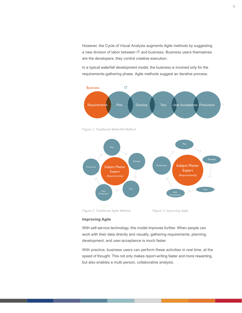However, the Cycle of Visual Analysis augments Agile methods by suggesting a new division of labor between IT and business. Business users themselves are the developers; they control creative execution.

In a typical waterfall development model, the business is involved only for the requirements-gathering phase. Agile methods suggest an iterative process.







*Figure 2: Traditional Agile Method Figure 3: Improving Agile*

#### **Improving Agile**

With self-service technology, this model improves further. When people can work with their data directly and visually, gathering requirements, planning, development, and user-acceptance is much faster.

With practice, business users can perform these activities in real time, at the speed of thought. This not only makes report-writing faster and more rewarding, but also enables a multi-person, collaborative analysis.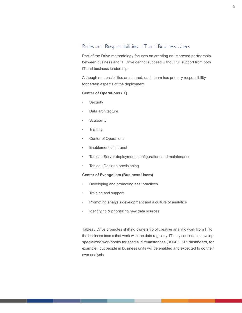# Roles and Responsibilities - IT and Business Users

Part of the Drive methodology focuses on creating an improved partnership between business and IT. Drive cannot succeed without full support from both IT and business leadership.

Although responsibilities are shared, each team has primary responsibility for certain aspects of the deployment.

#### **Center of Operations (IT)**

- **Security**
- Data architecture
- **Scalability**
- **Training**
- Center of Operations
- Enablement of intranet
- Tableau Server deployment, configuration, and maintenance
- Tableau Desktop provisioning

#### **Center of Evangelism (Business Users)**

- Developing and promoting best practices
- Training and support
- Promoting analysis development and a culture of analytics
- Identifying & prioritizing new data sources

Tableau Drive promotes shifting ownership of creative analytic work from IT to the business teams that work with the data regularly. IT may continue to develop specialized workbooks for special circumstances ( a CEO KPI dashboard, for example), but people in business units will be enabled and expected to do their own analysis.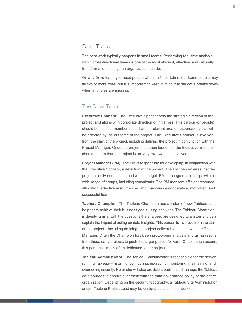#### <span id="page-5-0"></span>Drive Teams

The best work typically happens in small teams. Performing real-time analysis within cross-functional teams is one of the most efficient, effective, and culturally transformational things an organization can do.

On any Drive team, you need people who can fill certain roles. Some people may fill two or more roles, but it is important to keep in mind that the cycle breaks down when any roles are missing.

# The Drive Team

**Executive Sponsor:** The Executive Sponsor sets the strategic direction of the project and aligns with corporate direction or initiatives. This person (or people) should be a senior member of staff with a relevant area of responsibility that will be affected by the outcome of the project. The Executive Sponsor is involved from the start of the project, including defining the project in conjunction with the Project Manager. Once the project has been launched, the Executive Sponsor should ensure that the project is actively reviewed as it evolves.

**Project Manager (PM):** The PM is responsible for developing, in conjunction with the Executive Sponsor, a definition of the project. The PM then ensures that the project is delivered on time and within budget. PMs manage relationships with a wide range of groups, including consultants. The PM monitors efficient resource allocation, effective resource use, and maintains a cooperative, motivated, and successful team.

**Tableau Champion:** The Tableau Champion has a vision of how Tableau can help them achieve their business goals using analytics. The Tableau Champion is deeply familiar with the questions the analyses are designed to answer and can explain the impact of acting on data insights. This person is involved from the start of the project—including defining the project deliverable—along with the Project Manager. Often the Champion has been prototyping analysis and using results from those early projects to push the larger project forward. Once launch occurs, this person's time is often dedicated to the project.

**Tableau Administrator:** The Tableau Administrator is responsible for the server running Tableau—installing, configuring, upgrading, monitoring, maintaining, and overseeing security. He or she will also provision, publish and manage the Tableau data sources to ensure alignment with the data governance policy of the entire organization. Depending on the security topography, a Tableau Site Administrator and/or Tableau Project Lead may be designated to split the workload.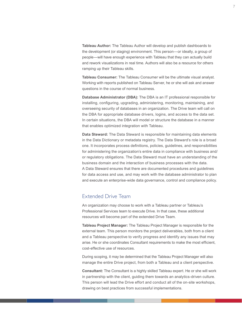**Tableau Author:** The Tableau Author will develop and publish dashboards to the development (or staging) environment. This person—or ideally, a group of people—will have enough experience with Tableau that they can actually build and rework visualizations in real time. Authors will also be a resource for others ramping up their Tableau skills.

**Tableau Consumer:** The Tableau Consumer will be the ultimate visual analyst. Working with reports published on Tableau Server, he or she will ask and answer questions in the course of normal business.

**Database Administrator (DBA):** The DBA is an IT professional responsible for installing, configuring, upgrading, administering, monitoring, maintaining, and overseeing security of databases in an organization. The Drive team will call on the DBA for appropriate database drivers, logins, and access to the data set. In certain situations, the DBA will model or structure the database in a manner that enables optimized integration with Tableau.

**Data Steward:** The Data Steward is responsible for maintaining data elements in the Data Dictionary or metadata registry. The Data Steward's role is a broad one. It incorporates process definitions, policies, guidelines, and responsibilities for administering the organization's entire data in compliance with business and/ or regulatory obligations. The Data Steward must have an understanding of the business domain and the interaction of business processes with the data. A Data Steward ensures that there are documented procedures and guidelines for data access and use, and may work with the database administrator to plan and execute an enterprise-wide data governance, control and compliance policy.

#### Extended Drive Team

An organization may choose to work with a Tableau partner or Tableau's Professional Services team to execute Drive. In that case, these additional resources will become part of the extended Drive Team.

**Tableau Project Manager:** The Tableau Project Manager is responsible for the external team. This person monitors the project deliverables, both from a client and a Tableau perspective to verify progress and identify any issues that may arise. He or she coordinates Consultant requirements to make the most efficient, cost-effective use of resources.

During scoping, it may be determined that the Tableau Project Manager will also manage the entire Drive project, from both a Tableau and a client perspective.

**Consultant:** The Consultant is a highly skilled Tableau expert. He or she will work in partnership with the client, guiding them towards an analytics-driven culture. This person will lead the Drive effort and conduct all of the on-site workshops, drawing on best practices from successful implementations.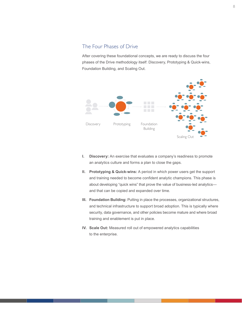# <span id="page-7-0"></span>The Four Phases of Drive

After covering these foundational concepts, we are ready to discuss the four phases of the Drive methodology itself: Discovery, Prototyping & Quick-wins, Foundation Building, and Scaling Out.



- **I. Discovery:** An exercise that evaluates a company's readiness to promote an analytics culture and forms a plan to close the gaps.
- **II. Prototyping & Quick-wins:** A period in which power users get the support and training needed to become confident analytic champions. This phase is about developing "quick wins" that prove the value of business-led analytics and that can be copied and expanded over time.
- **III. Foundation Building:** Putting in place the processes, organizational structures, and technical infrastructure to support broad adoption. This is typically where security, data governance, and other policies become mature and where broad training and enablement is put in place.
- **IV. Scale Out:** Measured roll out of empowered analytics capabilities to the enterprise.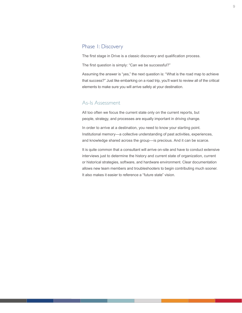# <span id="page-8-0"></span>Phase 1: Discovery

The first stage in Drive is a classic discovery and qualification process.

The first question is simply: "Can we be successful?"

Assuming the answer is "yes," the next question is: "What is the road map to achieve that success?" Just like embarking on a road trip, you'll want to review all of the critical elements to make sure you will arrive safely at your destination.

#### As-Is Assessment

All too often we focus the current state only on the current reports, but people, strategy, and processes are equally important in driving change.

In order to arrive at a destination, you need to know your starting point. Institutional memory—a collective understanding of past activities, experiences, and knowledge shared across the group—is precious. And it can be scarce.

It is quite common that a consultant will arrive on-site and have to conduct extensive interviews just to determine the history and current state of organization, current or historical strategies, software, and hardware environment. Clear documentation allows new team members and troubleshooters to begin contributing much sooner. It also makes it easier to reference a "future state" vision.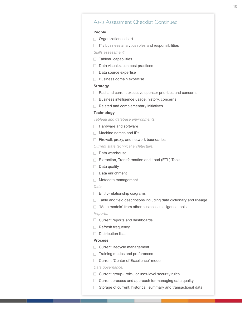#### As-Is Assessment Checklist Continued

#### **People**

- **Organizational chart**
- $\Box$  IT / business analytics roles and responsibilities

*Skills assessment:*

- $\Box$  Tableau capabilities
- $\Box$  Data visualization best practices
- $\Box$  Data source expertise
- **Business domain expertise**

#### **Strategy**

- $\Box$  Past and current executive sponsor priorities and concerns
- **Business intelligence usage, history, concerns**
- $\Box$  Related and complementary initiatives

#### **Technology**

*Tableau and database environments:*

- **Hardware and software**
- $\Box$  Machine names and IPs
- $\Box$  Firewall, proxy, and network boundaries

*Current state technical architecture:*

- Data warehouse
- Extraction, Transformation and Load (ETL) Tools
- $\Box$  Data quality
- Data enrichment
- □ Metadata management

#### *Data:*

- $\Box$  Entity-relationship diagrams
- $\Box$  Table and field descriptions including data dictionary and lineage
- □ "Meta models" from other business intelligence tools

#### *Reports:*

- $\Box$  Current reports and dashboards
- Refresh frequency
- $\Box$  Distribution lists

#### **Process**

- Current lifecycle management
- Training modes and preferences
- □ Current "Center of Excellence" model

#### *Data governance:*

- □ Current group-, role-, or user-level security rules
- $\Box$  Current process and approach for managing data quality
- $\Box$  Storage of current, historical, summary and transactional data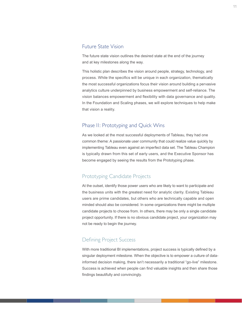#### <span id="page-10-0"></span>Future State Vision

The future state vision outlines the desired state at the end of the journey and at key milestones along the way.

This holistic plan describes the vision around people, strategy, technology, and process. While the specifics will be unique in each organization, thematically the most successful organizations focus their vision around building a pervasive analytics culture underpinned by business empowerment and self-reliance. The vision balances empowerment and flexibility with data governance and quality. In the Foundation and Scaling phases, we will explore techniques to help make that vision a reality.

#### Phase I1: Prototyping and Quick Wins

As we looked at the most successful deployments of Tableau, they had one common theme: A passionate user community that could realize value quickly by implementing Tableau even against an imperfect data set. The Tableau Champion is typically drawn from this set of early users, and the Executive Sponsor has become engaged by seeing the results from the Prototyping phase.

#### Prototyping Candidate Projects

At the outset, identify those power users who are likely to want to participate and the business units with the greatest need for analytic clarity. Existing Tableau users are prime candidates, but others who are technically capable and open minded should also be considered. In some organizations there might be multiple candidate projects to choose from. In others, there may be only a single candidate project opportunity. If there is no obvious candidate project, your organization may not be ready to begin the journey.

# Defining Project Success

With more traditional BI implementations, project success is typically defined by a singular deployment milestone. When the objective is to empower a culture of datainformed decision making, there isn't necessarily a traditional "go-live" milestone. Success is achieved when people can find valuable insights and then share those findings beautifully and convincingly.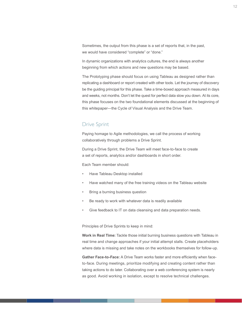Sometimes, the output from this phase is a set of reports that, in the past, we would have considered "complete" or "done."

In dynamic organizations with analytics cultures, the end is always another beginning from which actions and new questions may be based.

The Prototyping phase should focus on using Tableau as designed rather than replicating a dashboard or report created with other tools. Let the journey of discovery be the guiding principal for this phase. Take a time-boxed approach measured in days and weeks, not months. Don't let the quest for perfect data slow you down. At its core, this phase focuses on the two foundational elements discussed at the beginning of this whitepaper—the Cycle of Visual Analysis and the Drive Team.

# Drive Sprint

Paying homage to Agile methodologies, we call the process of working collaboratively through problems a Drive Sprint.

During a Drive Sprint, the Drive Team will meet face-to-face to create a set of reports, analytics and/or dashboards in short order.

Each Team member should:

- Have Tableau Desktop installed
- Have watched many of the free training videos on the Tableau website
- Bring a burning business question
- Be ready to work with whatever data is readily available
- Give feedback to IT on data cleansing and data preparation needs.

Principles of Drive Sprints to keep in mind:

**Work in Real Time:** Tackle those initial burning business questions with Tableau in real time and change approaches if your initial attempt stalls. Create placeholders where data is missing and take notes on the workbooks themselves for follow-up.

**Gather Face-to-Face:** A Drive Team works faster and more efficiently when faceto-face. During meetings, prioritize modifying and creating content rather than taking actions to do later. Collaborating over a web conferencing system is nearly as good. Avoid working in isolation, except to resolve technical challenges.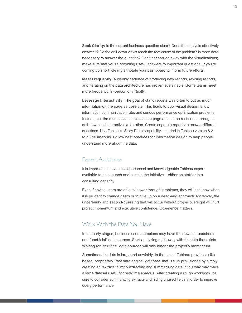**Seek Clarity:** Is the current business question clear? Does the analysis effectively answer it? Do the drill-down views reach the root cause of the problem? Is more data necessary to answer the question? Don't get carried away with the visualizations; make sure that you're providing useful answers to important questions. If you're coming up short, clearly annotate your dashboard to inform future efforts.

**Meet Frequently:** A weekly cadence of producing new reports, revising reports, and iterating on the data architecture has proven sustainable. Some teams meet more frequently, in-person or virtually.

**Leverage Interactivity:** The goal of static reports was often to put as much information on the page as possible. This leads to poor visual design, a low information communication rate, and serious performance optimization problems. Instead, put the most essential items on a page and let the rest come through in drill-down and interactive exploration. Create separate reports to answer different questions. Use Tableau's Story Points capability— added in Tableau version 8.2 to guide analysis. Follow best practices for information design to help people understand more about the data.

#### Expert Assistance

It is important to have one experienced and knowledgeable Tableau expert available to help launch and sustain the initiative—either on staff or in a consulting capacity.

Even if novice users are able to 'power through' problems, they will not know when it is prudent to change gears or to give up on a dead-end approach. Moreover, the uncertainty and second-guessing that will occur without proper oversight will hurt project momentum and executive confidence. Experience matters.

#### Work With the Data You Have

In the early stages, business user champions may have their own spreadsheets and "unofficial" data sources. Start analyzing right away with the data that exists. Waiting for "certified" data sources will only hinder the project's momentum.

Sometimes the data is large and unwieldy. In that case, Tableau provides a filebased, proprietary "fast data engine" database that is fully provisioned by simply creating an "extract." Simply extracting and summarizing data in this way may make a large dataset useful for real-time analysis. After creating a rough workbook, be sure to consider summarizing extracts and hiding unused fields in order to improve query performance.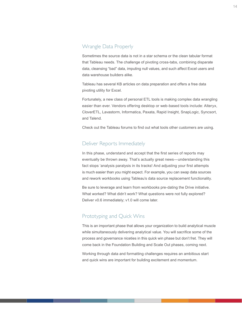# Wrangle Data Properly

Sometimes the source data is not in a star schema or the clean tabular format that Tableau needs. The challenge of pivoting cross-tabs, combining disparate data, cleansing "bad" data, imputing null values, and such affect Excel users and data warehouse builders alike.

Tableau has several KB articles on data preparation and offers a free data pivoting utility for Excel.

Fortunately, a new class of personal ETL tools is making complex data wrangling easier than ever. Vendors offering desktop or web-based tools include: Alteryx, CloverETL, Lavastorm, Informatica, Paxata, Rapid Insight, SnapLogic, Syncsort, and Talend.

Check out the Tableau forums to find out what tools other customers are using.

# Deliver Reports Immediately

In this phase, understand and accept that the first series of reports may eventually be thrown away. That's actually great news—understanding this fact stops 'analysis paralysis in its tracks! And adjusting your first attempts is much easier than you might expect. For example, you can swap data sources and rework workbooks using Tableau's data source replacement functionality.

Be sure to leverage and learn from workbooks pre-dating the Drive initiative. What worked? What didn't work? What questions were not fully explored? Deliver v0.6 immediately; v1.0 will come later.

# Prototyping and Quick Wins

This is an important phase that allows your organization to build analytical muscle while simultaneously delivering analytical value. You will sacrifice some of the process and governance niceties in this quick win phase but don't fret. They will come back in the Foundation Building and Scale Out phases, coming next.

Working through data and formatting challenges requires an ambitious start and quick wins are important for building excitement and momentum.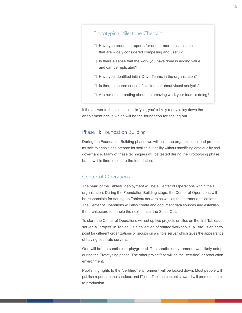<span id="page-14-0"></span>

If the answer to these questions is 'yes', you're likely ready to lay down the enablement bricks which will be the foundation for scaling out.

# Phase III: Foundation Building

During the Foundation Building phase, we will build the organizational and process muscle to enable and prepare for scaling out agility without sacrificing data quality and governance. Many of these techniques will be tested during the Prototyping phase, but now it is time to secure the foundation.

# Center of Operations

The heart of the Tableau deployment will be a Center of Operations within the IT organization. During the Foundation Building stage, the Center of Operations will be responsible for setting up Tableau servers as well as the intranet applications. The Center of Operations will also create and document data sources and establish the architecture to enable the next phase, the Scale Out.

To start, the Center of Operations will set up two projects or sites on the first Tableau server. A "project" in Tableau is a collection of related workbooks. A "site" is an entry point for different organizations or groups on a single server which gives the appearance of having separate servers.

One will be the sandbox or playground. The sandbox environment was likely setup during the Prototyping phase. The other project/site will be the "certified" or production environment.

Publishing rights to the "certified" environment will be locked down. Most people will publish reports to the sandbox and IT or a Tableau content steward will promote them to production.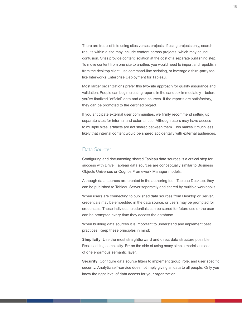There are trade-offs to using sites versus projects. If using projects only, search results within a site may include content across projects, which may cause confusion. Sites provide content isolation at the cost of a separate publishing step. To move content from one site to another, you would need to import and republish from the desktop client, use command-line scripting, or leverage a third-party tool like Interworks Enterprise Deployment for Tableau.

Most larger organizations prefer this two-site approach for quality assurance and validation. People can begin creating reports in the sandbox immediately—before you've finalized "official" data and data sources. If the reports are satisfactory, they can be promoted to the certified project.

If you anticipate external user communities, we firmly recommend setting up separate sites for internal and external use. Although users may have access to multiple sites, artifacts are not shared between them. This makes it much less likely that internal content would be shared accidentally with external audiences.

#### Data Sources

Configuring and documenting shared Tableau data sources is a critical step for success with Drive. Tableau data sources are conceptually similar to Business Objects Universes or Cognos Framework Manager models.

Although data sources are created in the authoring tool, Tableau Desktop, they can be published to Tableau Server separately and shared by multiple workbooks.

When users are connecting to published data sources from Desktop or Server, credentials may be embedded in the data source, or users may be prompted for credentials. These individual credentials can be stored for future use or the user can be prompted every time they access the database.

When building data sources it is important to understand and implement best practices. Keep these principles in mind:

**Simplicity:** Use the most straightforward and direct data structure possible. Resist adding complexity. Err on the side of using many simple models instead of one enormous semantic layer.

**Security:** Configure data source filters to implement group, role, and user specific security. Analytic self-service does not imply giving all data to all people. Only you know the right level of data access for your organization.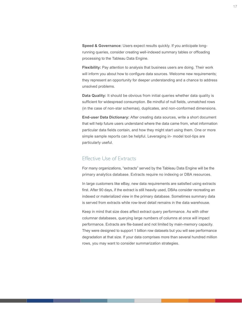**Speed & Governance:** Users expect results quickly. If you anticipate longrunning queries, consider creating well-indexed summary tables or offloading processing to the Tableau Data Engine.

**Flexibility:** Pay attention to analysis that business users are doing. Their work will inform you about how to configure data sources. Welcome new requirements; they represent an opportunity for deeper understanding and a chance to address unsolved problems.

**Data Quality:** It should be obvious from initial queries whether data quality is sufficient for widespread consumption. Be mindful of null fields, unmatched rows (in the case of non-star schemas), duplicates, and non-conformed dimensions.

**End-user Data Dictionary:** After creating data sources, write a short document that will help future users understand where the data came from, what information particular data fields contain, and how they might start using them. One or more simple sample reports can be helpful. Leveraging in- model tool-tips are particularly useful.

#### Effective Use of Extracts

For many organizations, "extracts" served by the Tableau Data Engine will be the primary analytics database. Extracts require no indexing or DBA resources.

In large customers like eBay, new data requirements are satisfied using extracts first. After 90 days, if the extract is still heavily used, DBAs consider recreating an indexed or materialized view in the primary database. Sometimes summary data is served from extracts while row-level detail remains in the data warehouse.

Keep in mind that size does affect extract query performance. As with other columnar databases, querying large numbers of columns at once will impact performance. Extracts are file-based and not limited by main-memory capacity. They were designed to support 1 billion row datasets but you will see performance degradation at that size. If your data comprises more than several hundred million rows, you may want to consider summarization strategies.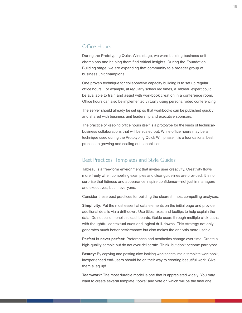#### Office Hours

During the Prototyping Quick Wins stage, we were building business unit champions and helping them find critical insights. During the Foundation Building stage, we are expanding that community to a broader group of business unit champions.

One proven technique for collaborative capacity building is to set up regular office hours. For example, at regularly scheduled times, a Tableau expert could be available to train and assist with workbook creation in a conference room. Office hours can also be implemented virtually using personal video conferencing.

The server should already be set up so that workbooks can be published quickly and shared with business unit leadership and executive sponsors.

The practice of keeping office hours itself is a prototype for the kinds of technicalbusiness collaborations that will be scaled out. While office hours may be a technique used during the Prototyping Quick Win phase, it is a foundational best practice to growing and scaling out capabilities.

#### Best Practices, Templates and Style Guides

Tableau is a free-form environment that invites user creativity. Creativity flows more freely when compelling examples and clear guidelines are provided. It is no surprise that tidiness and appearance inspire confidence—not just in managers and executives, but in everyone.

Consider these best practices for building the clearest, most compelling analyses:

**Simplicity:** Put the most essential data elements on the initial page and provide additional details via a drill-down. Use titles, axes and tooltips to help explain the data. Do not build monolithic dashboards. Guide users through multiple click-paths with thoughtful contextual cues and logical drill-downs. This strategy not only generates much better performance but also makes the analysis more usable.

**Perfect is never perfect:** Preferences and aesthetics change over time. Create a high-quality sample but do not over-deliberate. Think, but don't become paralyzed.

**Beauty:** By copying and pasting nice looking worksheets into a template workbook, inexperienced end-users should be on their way to creating beautiful work. Give them a leg up!

**Teamwork:** The most durable model is one that is appreciated widely. You may want to create several template "looks" and vote on which will be the final one.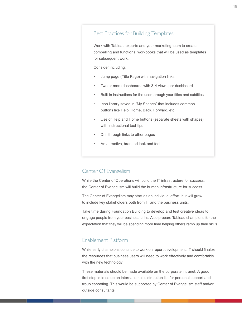## Best Practices for Building Templates

Work with Tableau experts and your marketing team to create compelling and functional workbooks that will be used as templates for subsequent work.

Consider including:

- Jump page (Title Page) with navigation links
- Two or more dashboards with 3-4 views per dashboard
- Built-in instructions for the user through your titles and subtitles
- Icon library saved in "My Shapes" that includes common buttons like Help, Home, Back, Forward, etc.
- Use of Help and Home buttons (separate sheets with shapes) with instructional tool-tips
- Drill through links to other pages
- An attractive, branded look and feel

# Center Of Evangelism

While the Center of Operations will build the IT infrastructure for success, the Center of Evangelism will build the human infrastructure for success.

The Center of Evangelism may start as an individual effort, but will grow to include key stakeholders both from IT and the business units.

Take time during Foundation Building to develop and test creative ideas to engage people from your business units. Also prepare Tableau champions for the expectation that they will be spending more time helping others ramp up their skills.

# Enablement Platform

While early champions continue to work on report development, IT should finalize the resources that business users will need to work effectively and comfortably with the new technology.

These materials should be made available on the corporate intranet. A good first step is to setup an internal email distribution list for personal support and troubleshooting. This would be supported by Center of Evangelism staff and/or outside consultants.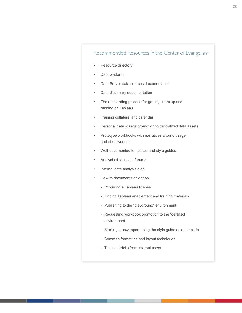# Recommended Resources in the Center of Evangelism

- Resource directory
- Data platform
- Data Server data sources documentation
- Data dictionary documentation
- The onboarding process for getting users up and running on Tableau
- Training collateral and calendar
- Personal data source promotion to centralized data assets
- Prototype workbooks with narratives around usage and effectiveness
- Well-documented templates and style guides
- Analysis discussion forums
- Internal data analysis blog
- How-to documents or videos:
	- Procuring a Tableau license
	- Finding Tableau enablement and training materials
	- Publishing to the "playground" environment
	- Requesting workbook promotion to the "certified" environment
	- Starting a new report using the style guide as a template
	- Common formatting and layout techniques
	- Tips and tricks from internal users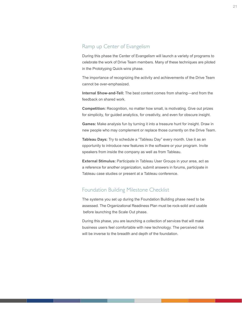# Ramp up Center of Evangelism

During this phase the Center of Evangelism will launch a variety of programs to celebrate the work of Drive Team members. Many of these techniques are piloted in the Prototyping Quick-wins phase.

The importance of recognizing the activity and achievements of the Drive Team cannot be over-emphasized.

**Internal Show-and-Tell:** The best content comes from sharing—and from the feedback on shared work.

**Competition:** Recognition, no matter how small, is motivating. Give out prizes for simplicity, for guided analytics, for creativity, and even for obscure insight.

**Games:** Make analysis fun by turning it into a treasure hunt for insight. Draw in new people who may complement or replace those currently on the Drive Team.

**Tableau Days:** Try to schedule a "Tableau Day" every month. Use it as an opportunity to introduce new features in the software or your program. Invite speakers from inside the company as well as from Tableau.

**External Stimulus:** Participate in Tableau User Groups in your area, act as a reference for another organization, submit answers in forums, participate in Tableau case studies or present at a Tableau conference.

# Foundation Building Milestone Checklist

The systems you set up during the Foundation Building phase need to be assessed. The Organizational Readiness Plan must be rock-solid and usable before launching the Scale Out phase.

During this phase, you are launching a collection of services that will make business users feel comfortable with new technology. The perceived risk will be inverse to the breadth and depth of the foundation.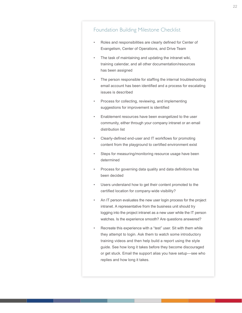- Roles and responsibilities are clearly defined for Center of Evangelism, Center of Operations, and Drive Team
- The task of maintaining and updating the intranet wiki, training calendar, and all other documentation/resources has been assigned
- The person responsible for staffing the internal troubleshooting email account has been identified and a process for escalating issues is described
- Process for collecting, reviewing, and implementing suggestions for improvement is identified
- Enablement resources have been evangelized to the user community, either through your company intranet or an email distribution list
- Clearly-defined end-user and IT workflows for promoting content from the playground to certified environment exist
- Steps for measuring/monitoring resource usage have been determined
- Process for governing data quality and data definitions has been decided
- Users understand how to get their content promoted to the certified location for company-wide visibility?
- An IT person evaluates the new user login process for the project intranet. A representative from the business unit should try logging into the project intranet as a new user while the IT person watches. Is the experience smooth? Are questions answered?
- Recreate this experience with a "test" user. Sit with them while they attempt to login. Ask them to watch some introductory training videos and then help build a report using the style guide. See how long it takes before they become discouraged or get stuck. Email the support alias you have setup—see who replies and how long it takes.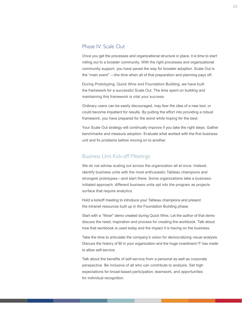#### <span id="page-22-0"></span>Phase IV: Scale Out

Once you get the processes and organizational structure in place, it is time to start rolling out to a broader community. With the right processes and organizational community support, you have paved the way for broader adoption. Scale Out is the "main event" —the time when all of that preparation and planning pays off.

During Prototyping, Quick Wins and Foundation Building, we have built the framework for a successful Scale Out. The time spent on building and maintaining this framework is vital your success.

Ordinary users can be easily discouraged, may fear the idea of a new tool, or could become impatient for results. By putting the effort into providing a robust framework, you have prepared for the worst while hoping for the best.

Your Scale Out strategy will continually improve if you take the right steps. Gather benchmarks and measure adoption. Evaluate what worked with the first business unit and fix problems before moving on to another.

#### Business Unit Kick-off Meetings

We do not advise scaling out across the organization all at once. Instead, identify business units with the most enthusiastic Tableau champions and strongest prototypes—and start there. Some organizations take a businessinitiated approach: different business units opt into the program as projects surface that require analytics.

Hold a kickoff meeting to introduce your Tableau champions and present the intranet resources built up in the Foundation Building phase.

Start with a "Wow!" demo created during Quick Wins. Let the author of that demo discuss the need, inspiration and process for creating the workbook. Talk about how that workbook is used today and the impact it is having on the business.

Take the time to articulate the company's vision for democratizing visual analysis. Discuss the history of BI in your organization and the huge investment IT has made to allow self-service.

Talk about the benefits of self-service from a personal as well as corporate perspective. Be inclusive of all who can contribute to analysis. Set high expectations for broad-based participation, teamwork, and opportunities for individual recognition.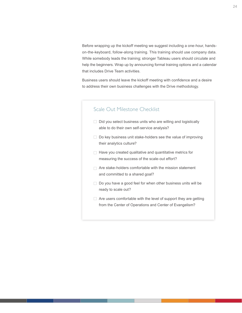Before wrapping up the kickoff meeting we suggest including a one-hour, handson-the-keyboard, follow-along training. This training should use company data. While somebody leads the training; stronger Tableau users should circulate and help the beginners. Wrap up by announcing formal training options and a calendar that includes Drive Team activities.

Business users should leave the kickoff meeting with confidence and a desire to address their own business challenges with the Drive methodology.

# Scale Out Milestone Checklist

- $\Box$  Did you select business units who are willing and logistically able to do their own self-service analysis?
- $\Box$  Do key business unit stake-holders see the value of improving their analytics culture?
- $\Box$  Have you created qualitative and quantitative metrics for measuring the success of the scale-out effort?
- $\Box$  Are stake-holders comfortable with the mission statement and committed to a shared goal?
- $\Box$  Do you have a good feel for when other business units will be ready to scale out?
- $\Box$  Are users comfortable with the level of support they are getting from the Center of Operations and Center of Evangelism?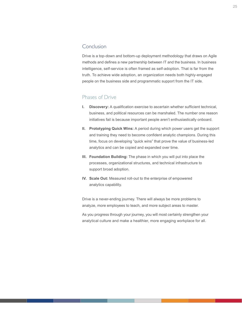## <span id="page-24-0"></span>Conclusion

Drive is a top-down and bottom-up deployment methodology that draws on Agile methods and defines a new partnership between IT and the business. In business intelligence, self-service is often framed as self-adoption. That is far from the truth. To achieve wide adoption, an organization needs both highly-engaged people on the business side and programmatic support from the IT side.

#### Phases of Drive

- **I. Discovery:** A qualification exercise to ascertain whether sufficient technical, business, and political resources can be marshaled. The number one reason initiatives fail is because important people aren't enthusiastically onboard.
- **II. Prototyping Quick Wins:** A period during which power users get the support and training they need to become confident analytic champions. During this time, focus on developing "quick wins" that prove the value of business-led analytics and can be copied and expanded over time.
- **III. Foundation Building:** The phase in which you will put into place the processes, organizational structures, and technical infrastructure to support broad adoption.
- **IV. Scale Out:** Measured roll-out to the enterprise of empowered analytics capability.

Drive is a never-ending journey. There will always be more problems to analyze, more employees to teach, and more subject areas to master.

As you progress through your journey, you will most certainly strengthen your analytical culture and make a healthier, more engaging workplace for all.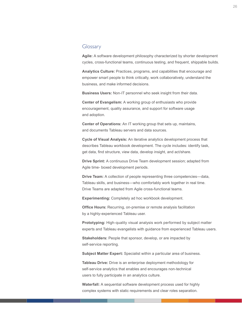#### <span id="page-25-0"></span>Glossary

**Agile:** A software development philosophy characterized by shorter development cycles, cross-functional teams, continuous testing, and frequent, shippable builds.

**Analytics Culture:** Practices, programs, and capabilities that encourage and empower smart people to think critically, work collaboratively, understand the business, and make informed decisions.

**Business Users:** Non-IT personnel who seek insight from their data.

**Center of Evangelism:** A working group of enthusiasts who provide encouragement, quality assurance, and support for software usage and adoption.

**Center of Operations:** An IT working group that sets up, maintains, and documents Tableau servers and data sources.

**Cycle of Visual Analysis:** An iterative analytics development process that describes Tableau workbook development. The cycle includes: identify task, get data, find structure, view data, develop insight, and act/share.

**Drive Sprint:** A continuous Drive Team development session; adapted from Agile time- boxed development periods.

**Drive Team:** A collection of people representing three competencies—data, Tableau skills, and business—who comfortably work together in real time. Drive Teams are adapted from Agile cross-functional teams.

**Experimenting:** Completely ad hoc workbook development.

**Office Hours:** Recurring, on-premise or remote analysis facilitation by a highly-experienced Tableau user.

**Prototyping:** High-quality visual analysis work performed by subject matter experts and Tableau evangelists with guidance from experienced Tableau users.

**Stakeholders:** People that sponsor, develop, or are impacted by self-service reporting.

**Subject Matter Expert:** Specialist within a particular area of business.

**Tableau Drive:** Drive is an enterprise deployment methodology for self-service analytics that enables and encourages non-technical users to fully participate in an analytics culture.

**Waterfall:** A sequential software development process used for highly complex systems with static requirements and clear roles separation.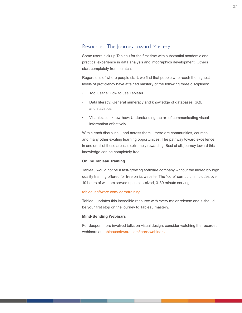# <span id="page-26-0"></span>Resources: The Journey toward Mastery

Some users pick up Tableau for the first time with substantial academic and practical experience in data analysis and infographics development. Others start completely from scratch.

Regardless of where people start, we find that people who reach the highest levels of proficiency have attained mastery of the following three disciplines:

- Tool usage: How to use Tableau
- Data literacy: General numeracy and knowledge of databases, SQL, and statistics.
- Visualization know-how: Understanding the art of communicating visual information effectively

Within each discipline—and across them—there are communities, courses, and many other exciting learning opportunities. The pathway toward excellence in one or all of these areas is extremely rewarding. Best of all, journey toward this knowledge can be completely free.

#### **Online Tableau Training**

Tableau would not be a fast-growing software company without the incredibly high quality training offered for free on its website. The "core" curriculum includes over 10 hours of wisdom served up in bite-sized, 3-30 minute servings.

#### tableausoftware.com/learn/training

Tableau updates this incredible resource with every major release and it should be your first stop on the journey to Tableau mastery.

#### **Mind-Bending Webinars**

For deeper, more involved talks on visual design, consider watching the recorded webinars at: tableausoftware.com/learn/webinars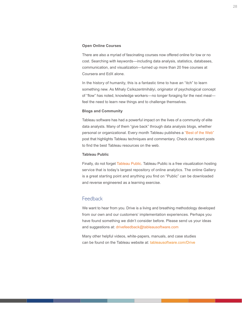#### <span id="page-27-0"></span>**Open Online Courses**

There are also a myriad of fascinating courses now offered online for low or no cost. Searching with keywords—including data analysis, statistics, databases, communication, and visualization—turned up more than 20 free courses at Coursera and EdX alone.

In the history of humanity, this is a fantastic time to have an "itch" to learn something new. As Mihaly Csíkszentmihályi, originator of psychological concept of "flow" has noted, knowledge workers—no longer foraging for the next meal feel the need to learn new things and to challenge themselves.

#### **Blogs and Community**

Tableau software has had a powerful impact on the lives of a community of elite data analysts. Many of them "give back" through data analysis blogs, whether personal or organizational. Every month Tableau publishes a ["Best of the Web"](http://www.tableausoftware.com/about/blog/2014/6/best-tableau-web-june-2014-31511) post that highlights Tableau techniques and commentary. Check out recent posts to find the best Tableau resources on the web.

#### **Tableau Public**

Finally, do not forget [Tableau Public](http://public.tableausoftware.com). Tableau Public is a free visualization hosting service that is today's largest repository of online analytics. The online Gallery is a great starting point and anything you find on "Public" can be downloaded and reverse engineered as a learning exercise.

#### Feedback

We want to hear from you. Drive is a living and breathing methodology developed from our own and our customers' implementation experiences. Perhaps you have found something we didn't consider before. Please send us your ideas and suggestions at: [drivefeedback@tableausoftware.com](mailto:drivefeedback%40tableausoftware.com?subject=)

Many other helpful videos, white-papers, manuals, and case studies can be found on the Tableau website at: [tableausoftware.com/Drive](http://www.tableausoftware.com/drive)